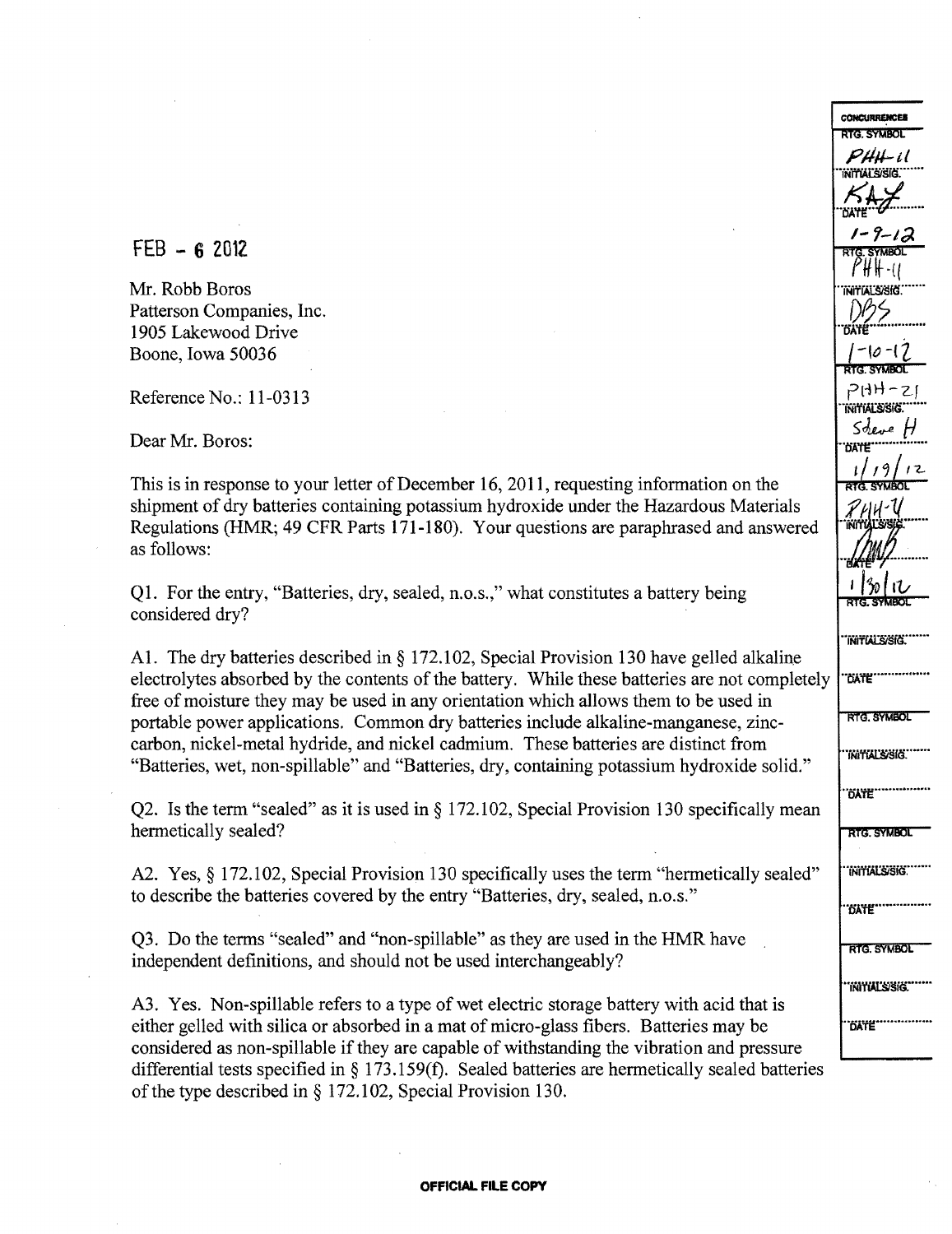$FEB - 62012$ 

Mr. Robb Boros Patterson Companies, Inc. 1905 Lakewood Drive Boone, Iowa 50036

Reference No.: 11-0313

Dear Mr. Boros:

This is in response to your letter of December 16, 2011, requesting information on the shipment of dry batteries containing potassium hydroxide under the Hazardous Materials Regulations (HMR; 49 CFR Parts 171-180). Your questions are paraphrased and answered as follows:

Ql. For the entry, "Batteries, dry, sealed, n.o.s.," what constitutes a battery being considered dry?

AI. The dry batteries described in § 172.102, Special Provision 130 have gelled alkaline electrolytes absorbed by the contents of the battery. While these batteries are not completely free of moisture they may be used in any orientation which allows them to be used in portable power applications. Common dry batteries include alkaline-manganese, zinc carbon, nickel-metal hydride, and nickel cadmium. These batteries are distinct from "Batteries, wet, non-spillable" and "Batteries, dry, containing potassium hydroxide solid."

Q2. Is the term "sealed" as it is used in § 172.102, Special Provision 130 specifically mean hermetically sealed?

A2. Yes, § 172.102, Special Provision 130 specifically uses the term "hermetically sealed" to describe the batteries covered by the entry "Batteries, dry, sealed, n.o.s."

Q3. Do the terms "sealed" and "non-spillable" as they are used in the HMR have independent definitions, and should not be used interchangeably?

A3. Yes. Non-spillable refers to a type of wet electric storage battery with acid that is either gelled with silica or absorbed in a mat of micro-glass fibers. Batteries may be considered as non-spillable if they are capable of withstanding the vibration and pressure differential tests specified in § 173.159(f). Sealed batteries are hermetically sealed batteries of the type described in  $\S$  172.102, Special Provision 130.

RTG SYMBOL  $P$ HH $-i\ell$ ··iifil'iJJ1J)sitr····· ..~~¥.......  $1 - 9 - 1, 2$  $\eta$   $\eta$  –  $\eta$  – ..iifWlAl:!is{(f......  $-6$ ATE  ${1-\vert\mathcal{O}\vert\text{-}\vert\mathcal{O}\vert\over\Vert\mathcal{O}\Vert}$  $P(HH-z)$ .<br>INITIALS/SIG.  $S_{\text{degree}}$ ··tiA'tlf· .. ••..•·..·••• 1 / 1 9 / 1 2<br> **RTG. SYMBOL**<br> *R* / 1 1 /<br> **ATTALS 312**<br> **to 1 /3** / 1 /<br> **RTG. SYMBOL**<br> **THTTALS 316**. RTG. SYMBOL "INITIALS/SIG."" ..oA'ff!!.···..•••••..••.. **RTG. SYMBOL** "INITIALS/SIG." **DATE"...... RTG SYMBOL** "INITIAL'S/SIG." ..fiA'ff!!.·.... • ..••..••••

**CONCURRENCES**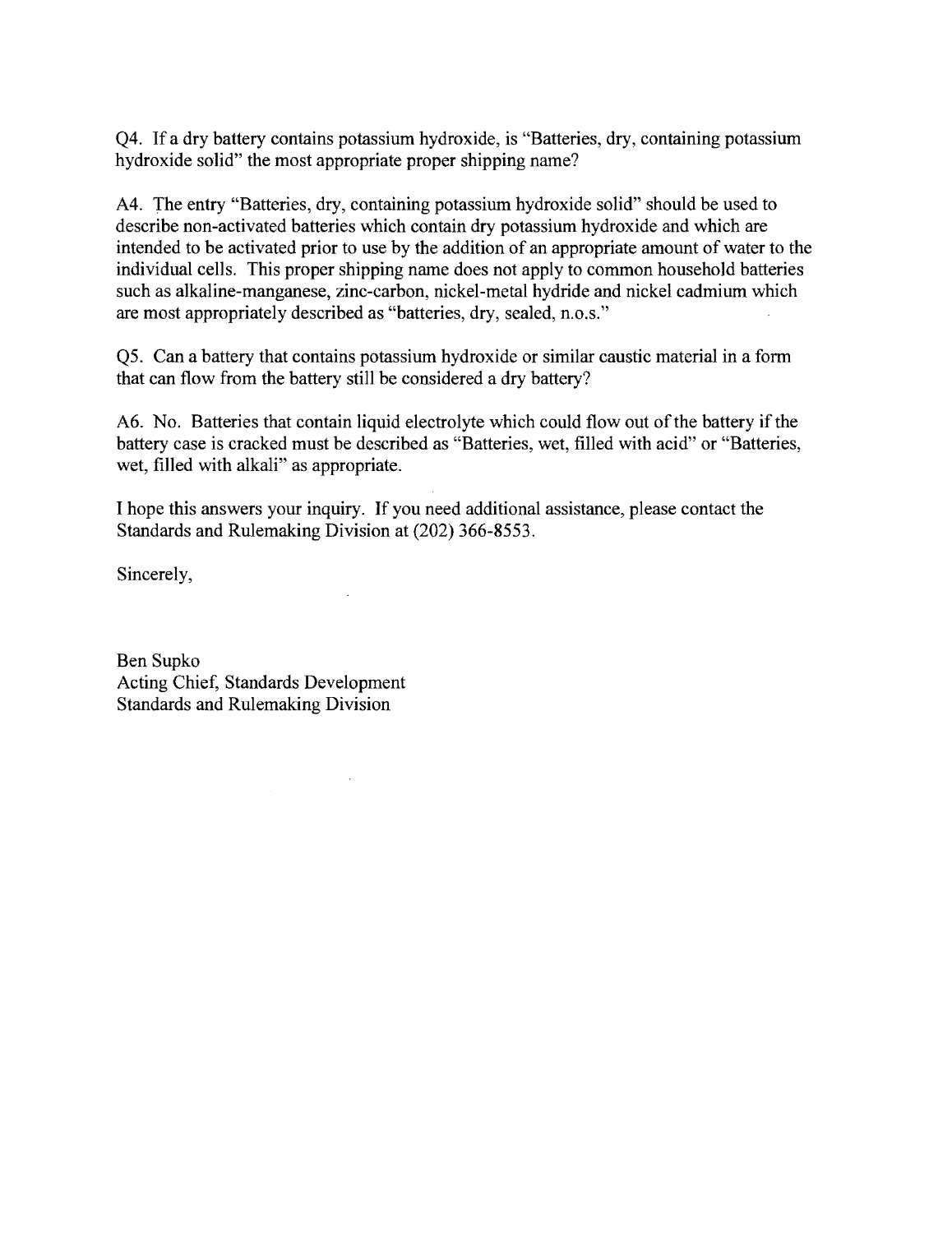Q4. If a dry battery contains potassium hydroxide, is "Batteries, dry, containing potassium hydroxide solid" the most appropriate proper shipping name?

A4. The entry "Batteries, dry, containing potassium hydroxide solid" should be used to describe non-activated batteries which contain dry potassium hydroxide and which are intended to be activated prior to use by the addition of an appropriate amount of water to the individual cells. This proper shipping name does not apply to common household batteries such as alkaline-manganese, zinc-carbon, nickel-metal hydride and nickel cadmium which are most appropriately described as "batteries, dry, sealed, n.o.s."

Q5. Can a battery that contains potassium hydroxide or similar caustic material in a fonn that can flow from the battery still be considered a dry battery?

A6. No. Batteries that contain liquid electrolyte which could flow out of the battery if the battery case is cracked must be described as "Batteries, wet, filled with acid" or "Batteries, wet, filled with alkali" as appropriate.

I hope this answers your inquiry. If you need additional assistance, please contact the Standards and Rulemaking Division at (202) 366-8553.

Sincerely,

Ben Supko Acting Chief, Standards Development Standards and Rulemaking Division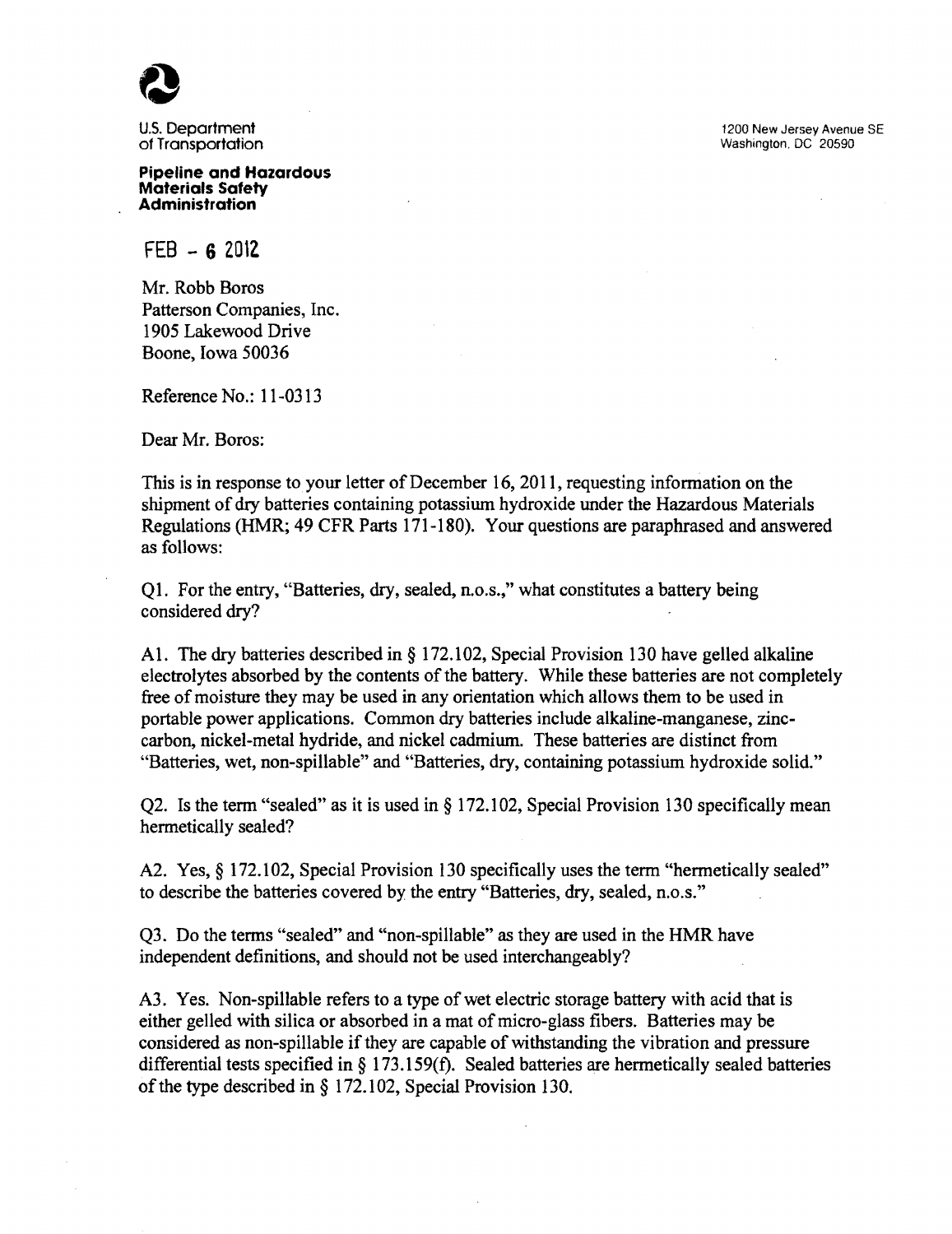of Transportation

**Pipeline and Hazardous Materials Safety Administration** 

FEB - **6 201l** 

Mr. Robb Boros Patterson Companies, Inc. 1905 Lakewood Drive Boone, Iowa 50036

Reference No.: 11-0313

Dear Mr. Boros:

This is in response to your letter of December 16, 2011, requesting information on the shipment of dry batteries containing potassium hydroxide under the Hazardous Materials Regulations (HMR; 49 CFR Parts 171-180). Your questions are paraphrased and answered as follows:

Ql. For the entry, "Batteries, dry, sealed, n.o.s.," what constitutes a battery being considered dry?

A1. The dry batteries described in § 172.102, Special Provision 130 have gelled alkaline electrolytes absorbed by the contents of the battery. While these batteries are not completely free of moisture they may be used in any orientation which allows them to be used in portable power applications. Common dry batteries include alkaline-manganese, zinccarbon, nickel-metal hydride, and nickel cadmium. These batteries are distinct from "Batteries, wet, non-spillable" and "Batteries, dry, containing potassium hydroxide solid."

Q2. Is the term "sealed" as it is used in  $\S 172.102$ , Special Provision 130 specifically mean hermetically sealed?

A2. Yes, § 172.102, Special Provision 130 specifically uses the term "hermetically sealed" to describe the batteries covered by the entry "Batteries, dry, sealed, n.o.s."

Q3. Do the tenns "sealed" and "non-spillable" as they are used in the HMR have independent definitions, and should not be used interchangeably?

A3. Yes. Non-spillable refers to a type of wet electric storage battery with acid that is either gelled with silica or absorbed in a mat of micro-glass fibers. Batteries may be considered as non-spillable if they are capable of withstanding the vibration and pressure differential tests specified in § 173.159(f). Sealed batteries are hennetically sealed batteries of the type described in  $\S 172.102$ , Special Provision 130.

U.S. Department 1200 New Jersey Avenue SE (1200 New Jersey Avenue SE) and the U.S. Department 1200 New Jersey Avenue SE<br>Of Transportation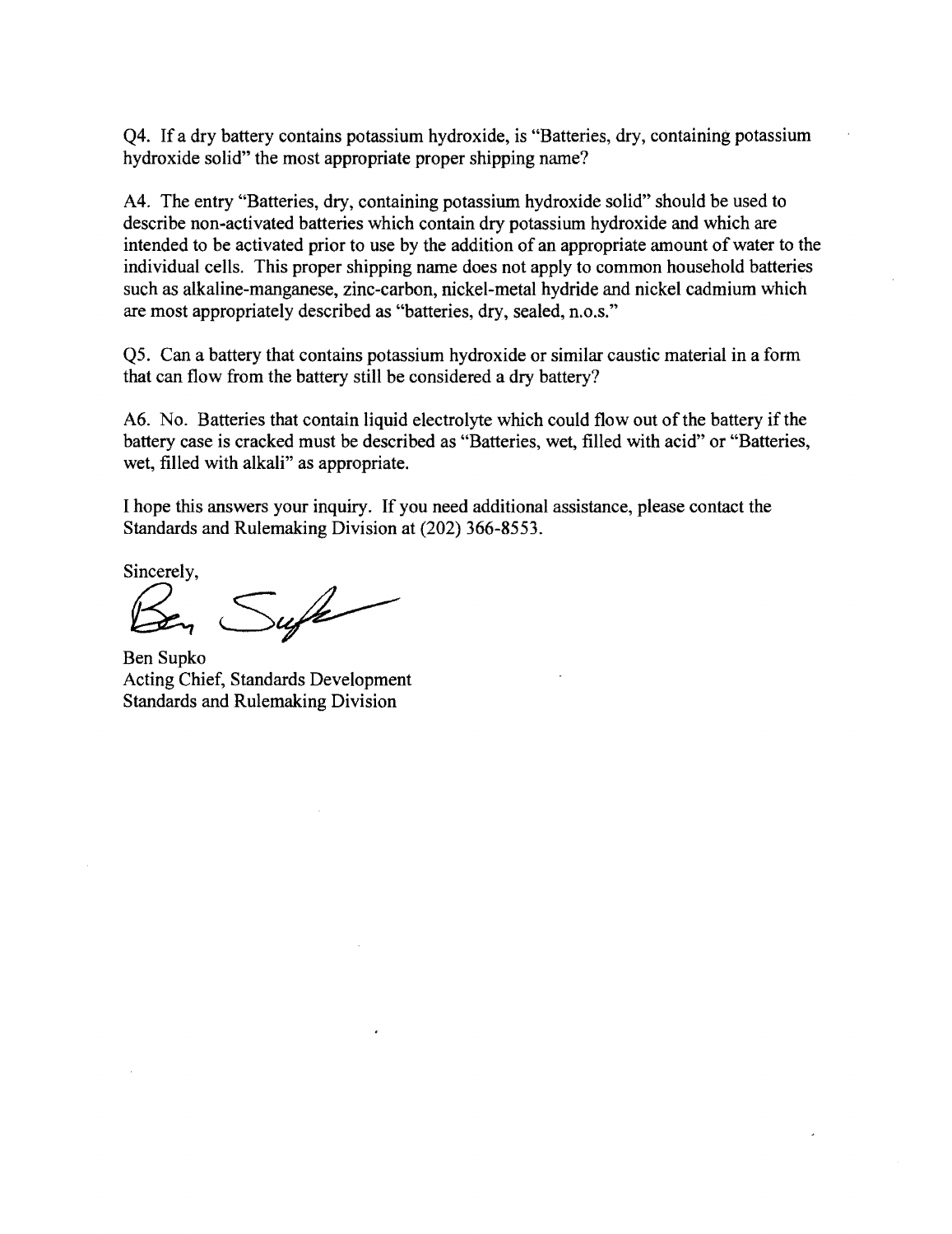Q4. If a dry battery contains potassium hydroxide, is "Batteries, dry, containing potassium hydroxide solid" the most appropriate proper shipping name?

A4. The entry "Batteries, dry, containing potassium hydroxide solid" should be used to describe non-activated batteries which contain dry potassium hydroxide and which are intended to be activated prior to use by the addition of an appropriate amount of water to the individual cells. This proper shipping name does not apply to common household batteries such as alkaline-manganese, zinc-carbon, nickel-metal hydride and nickel cadmium which are most appropriately described as "batteries, dry, sealed, n.o.s."

Q5. Can a battery that contains potassium hydroxide or similar caustic material in a form that can flow from the battery still be considered a dry battery?

A6. No. Batteries that contain liquid electrolyte which could flow out of the battery if the battery case is cracked must be described as "Batteries, wet, filled with acid" or "Batteries, wet, filled with alkali" as appropriate.

I hope this answers your inquiry. If you need additional assistance, please contact the Standards and Rulemaking Division at (202) 366-8553.

Sincerely.

Sufe

Ben Supko Acting Chief, Standards Development Standards and Rulemaking Division